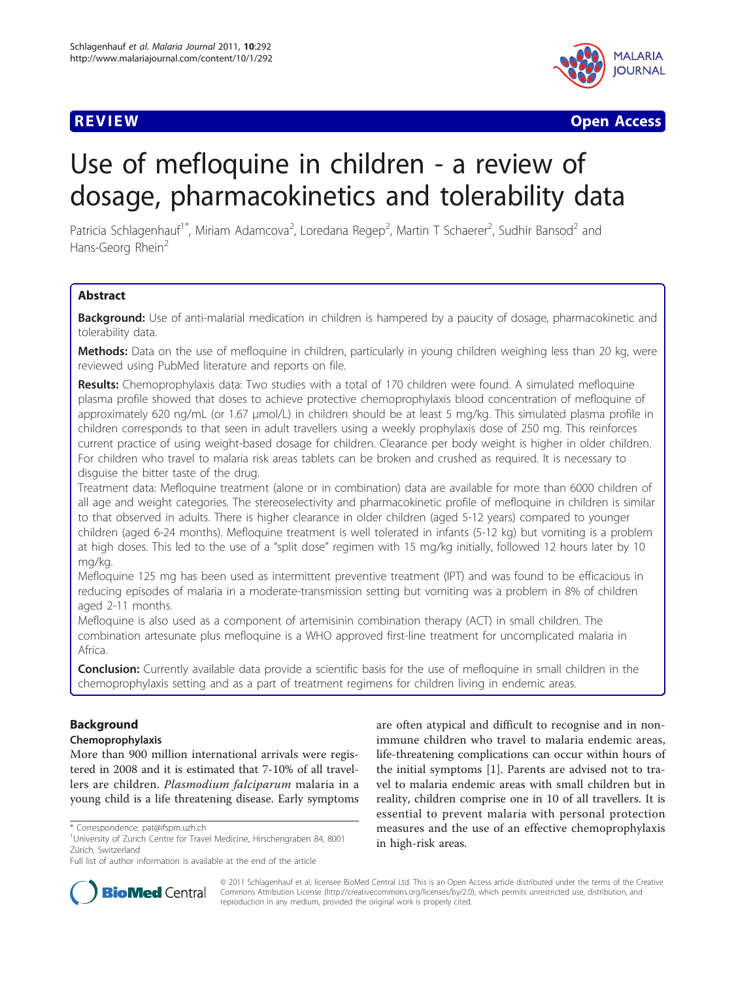

**REVIEW CONSULTANT CONSULTANT CONSULTANT CONSULTANT CONSULTANT CONSULTANT CONSULTANT CONSULTANT CONSULTANT CONSU** 

# Use of mefloquine in children - a review of dosage, pharmacokinetics and tolerability data

Patricia Schlagenhauf<sup>1\*</sup>, Miriam Adamcova<sup>2</sup>, Loredana Regep<sup>2</sup>, Martin T Schaerer<sup>2</sup>, Sudhir Bansod<sup>2</sup> and Hans-Georg Rhein<sup>2</sup>

# **Abstract**

Background: Use of anti-malarial medication in children is hampered by a paucity of dosage, pharmacokinetic and tolerability data.

Methods: Data on the use of mefloquine in children, particularly in young children weighing less than 20 kg, were reviewed using PubMed literature and reports on file.

Results: Chemoprophylaxis data: Two studies with a total of 170 children were found. A simulated mefloquine plasma profile showed that doses to achieve protective chemoprophylaxis blood concentration of mefloquine of approximately 620 ng/mL (or 1.67 μmol/L) in children should be at least 5 mg/kg. This simulated plasma profile in children corresponds to that seen in adult travellers using a weekly prophylaxis dose of 250 mg. This reinforces current practice of using weight-based dosage for children. Clearance per body weight is higher in older children. For children who travel to malaria risk areas tablets can be broken and crushed as required. It is necessary to disguise the bitter taste of the drug.

Treatment data: Mefloquine treatment (alone or in combination) data are available for more than 6000 children of all age and weight categories. The stereoselectivity and pharmacokinetic profile of mefloquine in children is similar to that observed in adults. There is higher clearance in older children (aged 5-12 years) compared to younger children (aged 6-24 months). Mefloquine treatment is well tolerated in infants (5-12 kg) but vomiting is a problem at high doses. This led to the use of a "split dose" regimen with 15 mg/kg initially, followed 12 hours later by 10 mg/kg.

Mefloquine 125 mg has been used as intermittent preventive treatment (IPT) and was found to be efficacious in reducing episodes of malaria in a moderate-transmission setting but vomiting was a problem in 8% of children aged 2-11 months.

Mefloquine is also used as a component of artemisinin combination therapy (ACT) in small children. The combination artesunate plus mefloquine is a WHO approved first-line treatment for uncomplicated malaria in Africa.

**Conclusion:** Currently available data provide a scientific basis for the use of mefloquine in small children in the chemoprophylaxis setting and as a part of treatment regimens for children living in endemic areas.

# Background

# Chemoprophylaxis

More than 900 million international arrivals were registered in 2008 and it is estimated that 7-10% of all travellers are children. Plasmodium falciparum malaria in a young child is a life threatening disease. Early symptoms

Full list of author information is available at the end of the article





© 2011 Schlagenhauf et al; licensee BioMed Central Ltd. This is an Open Access article distributed under the terms of the Creative Commons Attribution License [\(http://creativecommons.org/licenses/by/2.0](http://creativecommons.org/licenses/by/2.0)), which permits unrestricted use, distribution, and reproduction in any medium, provided the original work is properly cited.

<sup>\*</sup> Correspondence: [pat@ifspm.uzh.ch](mailto:pat@ifspm.uzh.ch)

<sup>&</sup>lt;sup>1</sup>University of Zurich Centre for Travel Medicine, Hirschengraben 84, 8001 Zürich, Switzerland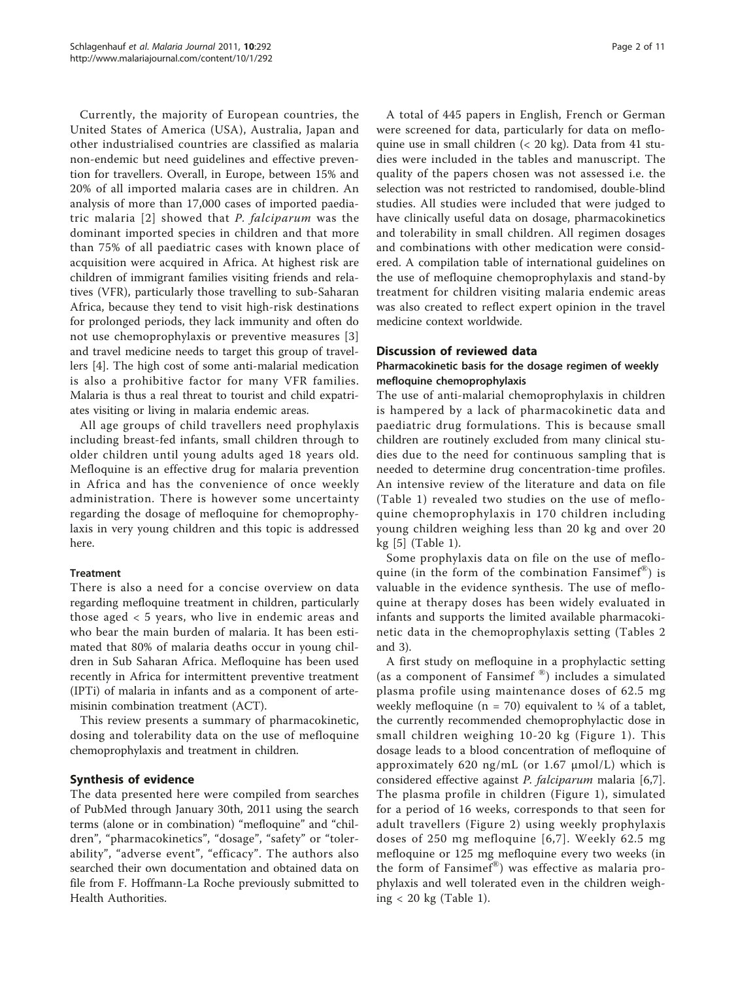Currently, the majority of European countries, the United States of America (USA), Australia, Japan and other industrialised countries are classified as malaria non-endemic but need guidelines and effective prevention for travellers. Overall, in Europe, between 15% and 20% of all imported malaria cases are in children. An analysis of more than 17,000 cases of imported paediatric malaria [[2\]](#page-8-0) showed that P. falciparum was the dominant imported species in children and that more than 75% of all paediatric cases with known place of acquisition were acquired in Africa. At highest risk are children of immigrant families visiting friends and relatives (VFR), particularly those travelling to sub-Saharan Africa, because they tend to visit high-risk destinations for prolonged periods, they lack immunity and often do not use chemoprophylaxis or preventive measures [[3](#page-8-0)] and travel medicine needs to target this group of travellers [[4\]](#page-8-0). The high cost of some anti-malarial medication is also a prohibitive factor for many VFR families. Malaria is thus a real threat to tourist and child expatriates visiting or living in malaria endemic areas.

All age groups of child travellers need prophylaxis including breast-fed infants, small children through to older children until young adults aged 18 years old. Mefloquine is an effective drug for malaria prevention in Africa and has the convenience of once weekly administration. There is however some uncertainty regarding the dosage of mefloquine for chemoprophylaxis in very young children and this topic is addressed here.

# **Treatment**

There is also a need for a concise overview on data regarding mefloquine treatment in children, particularly those aged < 5 years, who live in endemic areas and who bear the main burden of malaria. It has been estimated that 80% of malaria deaths occur in young children in Sub Saharan Africa. Mefloquine has been used recently in Africa for intermittent preventive treatment (IPTi) of malaria in infants and as a component of artemisinin combination treatment (ACT).

This review presents a summary of pharmacokinetic, dosing and tolerability data on the use of mefloquine chemoprophylaxis and treatment in children.

#### Synthesis of evidence

The data presented here were compiled from searches of PubMed through January 30th, 2011 using the search terms (alone or in combination) "mefloquine" and "children", "pharmacokinetics", "dosage", "safety" or "tolerability", "adverse event", "efficacy". The authors also searched their own documentation and obtained data on file from F. Hoffmann-La Roche previously submitted to Health Authorities.

A total of 445 papers in English, French or German were screened for data, particularly for data on mefloquine use in small children (< 20 kg). Data from 41 studies were included in the tables and manuscript. The quality of the papers chosen was not assessed i.e. the selection was not restricted to randomised, double-blind studies. All studies were included that were judged to have clinically useful data on dosage, pharmacokinetics and tolerability in small children. All regimen dosages and combinations with other medication were considered. A compilation table of international guidelines on the use of mefloquine chemoprophylaxis and stand-by treatment for children visiting malaria endemic areas was also created to reflect expert opinion in the travel medicine context worldwide.

#### Discussion of reviewed data

# Pharmacokinetic basis for the dosage regimen of weekly mefloquine chemoprophylaxis

The use of anti-malarial chemoprophylaxis in children is hampered by a lack of pharmacokinetic data and paediatric drug formulations. This is because small children are routinely excluded from many clinical studies due to the need for continuous sampling that is needed to determine drug concentration-time profiles. An intensive review of the literature and data on file (Table [1](#page-2-0)) revealed two studies on the use of mefloquine chemoprophylaxis in 170 children including young children weighing less than 20 kg and over 20 kg [\[5](#page-8-0)] (Table [1\)](#page-2-0).

Some prophylaxis data on file on the use of mefloquine (in the form of the combination Fansime $f^{\text{B}}$ ) is valuable in the evidence synthesis. The use of mefloquine at therapy doses has been widely evaluated in infants and supports the limited available pharmacokinetic data in the chemoprophylaxis setting (Tables [2](#page-3-0) and [3\)](#page-4-0).

A first study on mefloquine in a prophylactic setting (as a component of Fansimef  $\omega$ ) includes a simulated plasma profile using maintenance doses of 62.5 mg weekly mefloquine (n = 70) equivalent to  $\frac{1}{4}$  of a tablet, the currently recommended chemoprophylactic dose in small children weighing 10-20 kg (Figure [1](#page-6-0)). This dosage leads to a blood concentration of mefloquine of approximately 620 ng/mL (or 1.67 μmol/L) which is considered effective against P. falciparum malaria [[6](#page-8-0)[,7](#page-9-0)]. The plasma profile in children (Figure [1](#page-6-0)), simulated for a period of 16 weeks, corresponds to that seen for adult travellers (Figure [2](#page-6-0)) using weekly prophylaxis doses of 250 mg mefloquine [[6](#page-8-0),[7](#page-9-0)]. Weekly 62.5 mg mefloquine or 125 mg mefloquine every two weeks (in the form of Fansimef®) was effective as malaria prophylaxis and well tolerated even in the children weighing < 20 kg (Table [1](#page-2-0)).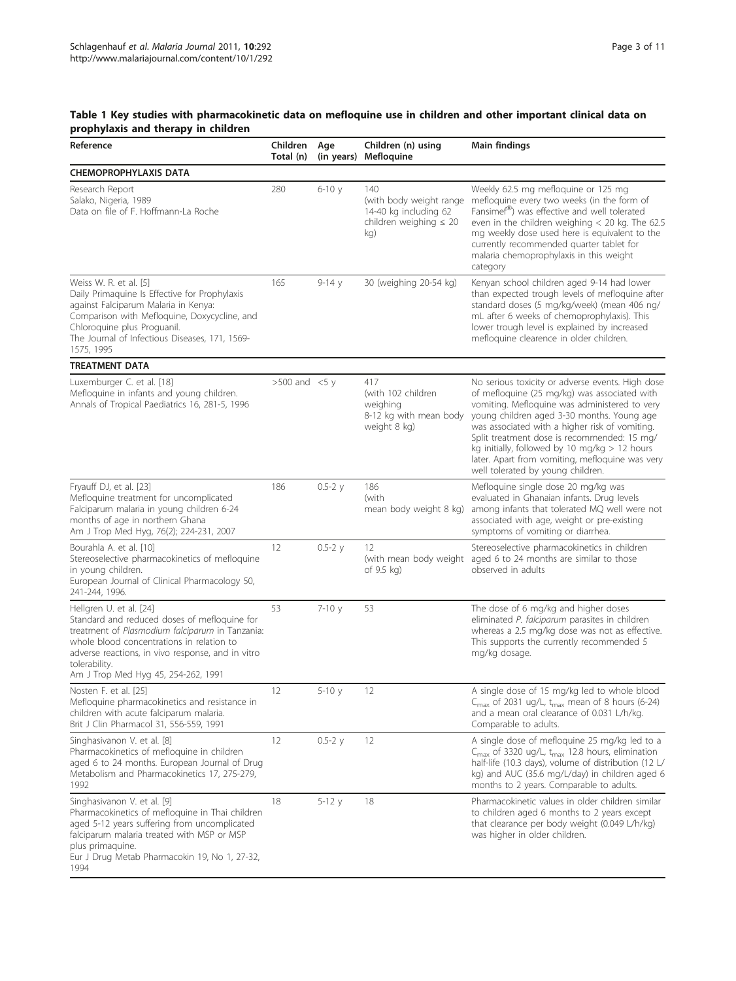#### <span id="page-2-0"></span>Table 1 Key studies with pharmacokinetic data on mefloquine use in children and other important clinical data on prophylaxis and therapy in children

| propriyiaxis anu therapy in timuren                                                                                                                                                                                                                                                  |                       |                   |                                                                                               |                                                                                                                                                                                                                                                                                                                                                                                                                                             |
|--------------------------------------------------------------------------------------------------------------------------------------------------------------------------------------------------------------------------------------------------------------------------------------|-----------------------|-------------------|-----------------------------------------------------------------------------------------------|---------------------------------------------------------------------------------------------------------------------------------------------------------------------------------------------------------------------------------------------------------------------------------------------------------------------------------------------------------------------------------------------------------------------------------------------|
| Reference                                                                                                                                                                                                                                                                            | Children<br>Total (n) | Age<br>(in years) | Children (n) using<br>Mefloquine                                                              | Main findings                                                                                                                                                                                                                                                                                                                                                                                                                               |
| <b>CHEMOPROPHYLAXIS DATA</b>                                                                                                                                                                                                                                                         |                       |                   |                                                                                               |                                                                                                                                                                                                                                                                                                                                                                                                                                             |
| Research Report<br>Salako, Nigeria, 1989<br>Data on file of F. Hoffmann-La Roche                                                                                                                                                                                                     | 280                   | $6-10y$           | 140<br>(with body weight range<br>14-40 kg including 62<br>children weighing $\leq 20$<br>kg) | Weekly 62.5 mg mefloquine or 125 mg<br>mefloquine every two weeks (in the form of<br>Fansimef®) was effective and well tolerated<br>even in the children weighing $<$ 20 kg. The 62.5<br>mg weekly dose used here is equivalent to the<br>currently recommended quarter tablet for<br>malaria chemoprophylaxis in this weight<br>category                                                                                                   |
| Weiss W. R. et al. [5]<br>Daily Primaquine Is Effective for Prophylaxis<br>against Falciparum Malaria in Kenya:<br>Comparison with Mefloquine, Doxycycline, and<br>Chloroquine plus Proguanil.<br>The Journal of Infectious Diseases, 171, 1569-<br>1575, 1995                       | 165                   | $9-14y$           | 30 (weighing 20-54 kg)                                                                        | Kenyan school children aged 9-14 had lower<br>than expected trough levels of mefloquine after<br>standard doses (5 mg/kg/week) (mean 406 ng/<br>mL after 6 weeks of chemoprophylaxis). This<br>lower trough level is explained by increased<br>mefloquine clearence in older children.                                                                                                                                                      |
| <b>TREATMENT DATA</b>                                                                                                                                                                                                                                                                |                       |                   |                                                                                               |                                                                                                                                                                                                                                                                                                                                                                                                                                             |
| Luxemburger C. et al. [18]<br>Mefloquine in infants and young children.<br>Annals of Tropical Paediatrics 16, 281-5, 1996                                                                                                                                                            | $>500$ and $<5$ y     |                   | 417<br>(with 102 children<br>weighing<br>8-12 kg with mean body<br>weight 8 kg)               | No serious toxicity or adverse events. High dose<br>of mefloquine (25 mg/kg) was associated with<br>vomiting. Mefloquine was administered to very<br>young children aged 3-30 months. Young age<br>was associated with a higher risk of vomiting.<br>Split treatment dose is recommended: 15 mg/<br>kg initially, followed by 10 mg/kg $> 12$ hours<br>later. Apart from vomiting, mefloquine was very<br>well tolerated by young children. |
| Fryauff DJ, et al. [23]<br>Mefloquine treatment for uncomplicated<br>Falciparum malaria in young children 6-24<br>months of age in northern Ghana<br>Am J Trop Med Hyg, 76(2); 224-231, 2007                                                                                         | 186                   | $0.5 - 2 y$       | 186<br>(with<br>mean body weight 8 kg)                                                        | Mefloquine single dose 20 mg/kg was<br>evaluated in Ghanaian infants. Drug levels<br>among infants that tolerated MQ well were not<br>associated with age, weight or pre-existing<br>symptoms of vomiting or diarrhea.                                                                                                                                                                                                                      |
| Bourahla A. et al. [10]<br>Stereoselective pharmacokinetics of mefloquine<br>in young children.<br>European Journal of Clinical Pharmacology 50,<br>241-244, 1996.                                                                                                                   | 12                    | $0.5 - 2 y$       | 12<br>(with mean body weight<br>of 9.5 kg)                                                    | Stereoselective pharmacokinetics in children<br>aged 6 to 24 months are similar to those<br>observed in adults                                                                                                                                                                                                                                                                                                                              |
| Hellgren U. et al. [24]<br>Standard and reduced doses of mefloquine for<br>treatment of Plasmodium falciparum in Tanzania:<br>whole blood concentrations in relation to<br>adverse reactions, in vivo response, and in vitro<br>tolerability.<br>Am J Trop Med Hyg 45, 254-262, 1991 | 53                    | $7 - 10y$         | 53                                                                                            | The dose of 6 mg/kg and higher doses<br>eliminated P. falciparum parasites in children<br>whereas a 2.5 mg/kg dose was not as effective.<br>This supports the currently recommended 5<br>mg/kg dosage.                                                                                                                                                                                                                                      |
| Nosten F. et al. [25]<br>Mefloquine pharmacokinetics and resistance in<br>children with acute falciparum malaria.<br>Brit J Clin Pharmacol 31, 556-559, 1991                                                                                                                         | 12                    | $5-10y$           | 12                                                                                            | A single dose of 15 mg/kg led to whole blood<br>$C_{\text{max}}$ of 2031 ug/L, $t_{\text{max}}$ mean of 8 hours (6-24)<br>and a mean oral clearance of 0.031 L/h/kg.<br>Comparable to adults.                                                                                                                                                                                                                                               |
| Singhasivanon V. et al. [8]<br>Pharmacokinetics of mefloquine in children<br>aged 6 to 24 months. European Journal of Drug<br>Metabolism and Pharmacokinetics 17, 275-279,<br>1992                                                                                                   | 12                    | $0.5 - 2y$        | 12                                                                                            | A single dose of mefloquine 25 mg/kg led to a<br>$C_{\text{max}}$ of 3320 ug/L, $t_{\text{max}}$ 12.8 hours, elimination<br>half-life (10.3 days), volume of distribution (12 L/<br>kg) and AUC (35.6 mg/L/day) in children aged 6<br>months to 2 years. Comparable to adults.                                                                                                                                                              |
| Singhasivanon V. et al. [9]<br>Pharmacokinetics of mefloquine in Thai children<br>aged 5-12 years suffering from uncomplicated<br>falciparum malaria treated with MSP or MSP<br>plus primaquine.<br>Eur J Drug Metab Pharmacokin 19, No 1, 27-32,<br>1994                            | 18                    | $5-12y$           | 18                                                                                            | Pharmacokinetic values in older children similar<br>to children aged 6 months to 2 years except<br>that clearance per body weight (0.049 L/h/kg)<br>was higher in older children.                                                                                                                                                                                                                                                           |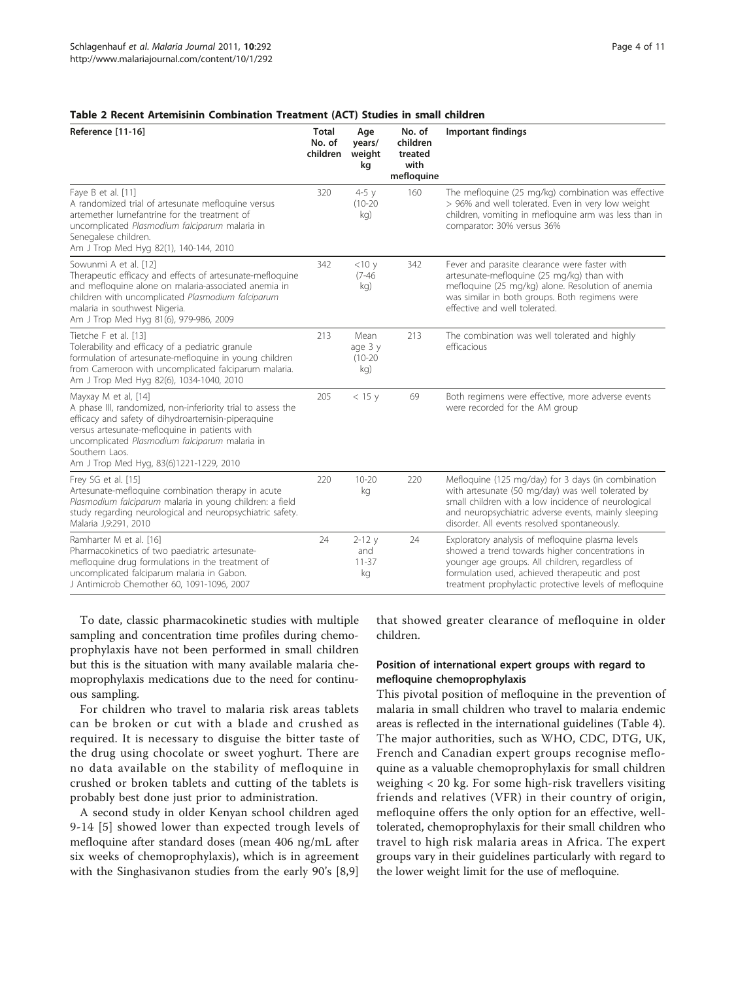<span id="page-3-0"></span>

| Reference [11-16]                                                                                                                                                                                                                                                                                           | <b>Total</b><br>No. of<br>children | Age<br>years/<br>weight<br>kg       | No. of<br>children<br>treated<br>with<br>mefloquine | <b>Important findings</b>                                                                                                                                                                                                                                              |
|-------------------------------------------------------------------------------------------------------------------------------------------------------------------------------------------------------------------------------------------------------------------------------------------------------------|------------------------------------|-------------------------------------|-----------------------------------------------------|------------------------------------------------------------------------------------------------------------------------------------------------------------------------------------------------------------------------------------------------------------------------|
| Faye B et al. [11]<br>A randomized trial of artesunate mefloquine versus<br>artemether lumefantrine for the treatment of<br>uncomplicated Plasmodium falciparum malaria in<br>Senegalese children.<br>Am J Trop Med Hyg 82(1), 140-144, 2010                                                                | 320                                | $4-5y$<br>$(10-20)$<br>kg)          | 160                                                 | The mefloquine (25 mg/kg) combination was effective<br>> 96% and well tolerated. Even in very low weight<br>children, vomiting in mefloquine arm was less than in<br>comparator: 30% versus 36%                                                                        |
| Sowunmi A et al. [12]<br>Therapeutic efficacy and effects of artesunate-mefloquine<br>and mefloquine alone on malaria-associated anemia in<br>children with uncomplicated Plasmodium falciparum<br>malaria in southwest Nigeria.<br>Am J Trop Med Hyg 81(6), 979-986, 2009                                  | 342                                | $<$ 10 $y$<br>$(7 - 46)$<br>kg)     | 342                                                 | Fever and parasite clearance were faster with<br>artesunate-mefloquine (25 mg/kg) than with<br>mefloquine (25 mg/kg) alone. Resolution of anemia<br>was similar in both groups. Both regimens were<br>effective and well tolerated.                                    |
| Tietche F et al. [13]<br>Tolerability and efficacy of a pediatric granule<br>formulation of artesunate-mefloquine in young children<br>from Cameroon with uncomplicated falciparum malaria.<br>Am J Trop Med Hyg 82(6), 1034-1040, 2010                                                                     | 213                                | Mean<br>age 3 y<br>$(10-20)$<br>kg) | 213                                                 | The combination was well tolerated and highly<br>efficacious                                                                                                                                                                                                           |
| Mayxay M et al, [14]<br>A phase III, randomized, non-inferiority trial to assess the<br>efficacy and safety of dihydroartemisin-piperaquine<br>versus artesunate-mefloquine in patients with<br>uncomplicated Plasmodium falciparum malaria in<br>Southern Laos.<br>Am J Trop Med Hyg, 83(6)1221-1229, 2010 | 205                                | $<$ 15 y                            | 69                                                  | Both regimens were effective, more adverse events<br>were recorded for the AM group                                                                                                                                                                                    |
| Frey SG et al. [15]<br>Artesunate-mefloquine combination therapy in acute<br>Plasmodium falciparum malaria in young children: a field<br>study regarding neurological and neuropsychiatric safety.<br>Malaria J, 9:291, 2010                                                                                | 220                                | $10 - 20$<br>kg                     | 220                                                 | Mefloquine (125 mg/day) for 3 days (in combination<br>with artesunate (50 mg/day) was well tolerated by<br>small children with a low incidence of neurological<br>and neuropsychiatric adverse events, mainly sleeping<br>disorder. All events resolved spontaneously. |
| Ramharter M et al. [16]<br>Pharmacokinetics of two paediatric artesunate-<br>mefloquine drug formulations in the treatment of<br>uncomplicated falciparum malaria in Gabon.<br>J Antimicrob Chemother 60, 1091-1096, 2007                                                                                   | 24                                 | $2 - 12y$<br>and<br>$11 - 37$<br>kg | 24                                                  | Exploratory analysis of mefloquine plasma levels<br>showed a trend towards higher concentrations in<br>younger age groups. All children, regardless of<br>formulation used, achieved therapeutic and post<br>treatment prophylactic protective levels of mefloquine    |

To date, classic pharmacokinetic studies with multiple sampling and concentration time profiles during chemoprophylaxis have not been performed in small children but this is the situation with many available malaria chemoprophylaxis medications due to the need for continuous sampling.

For children who travel to malaria risk areas tablets can be broken or cut with a blade and crushed as required. It is necessary to disguise the bitter taste of the drug using chocolate or sweet yoghurt. There are no data available on the stability of mefloquine in crushed or broken tablets and cutting of the tablets is probably best done just prior to administration.

A second study in older Kenyan school children aged 9-14 [[5](#page-8-0)] showed lower than expected trough levels of mefloquine after standard doses (mean 406 ng/mL after six weeks of chemoprophylaxis), which is in agreement with the Singhasivanon studies from the early 90's [\[8,9](#page-9-0)] that showed greater clearance of mefloquine in older children.

#### Position of international expert groups with regard to mefloquine chemoprophylaxis

This pivotal position of mefloquine in the prevention of malaria in small children who travel to malaria endemic areas is reflected in the international guidelines (Table [4](#page-7-0)). The major authorities, such as WHO, CDC, DTG, UK, French and Canadian expert groups recognise mefloquine as a valuable chemoprophylaxis for small children weighing < 20 kg. For some high-risk travellers visiting friends and relatives (VFR) in their country of origin, mefloquine offers the only option for an effective, welltolerated, chemoprophylaxis for their small children who travel to high risk malaria areas in Africa. The expert groups vary in their guidelines particularly with regard to the lower weight limit for the use of mefloquine.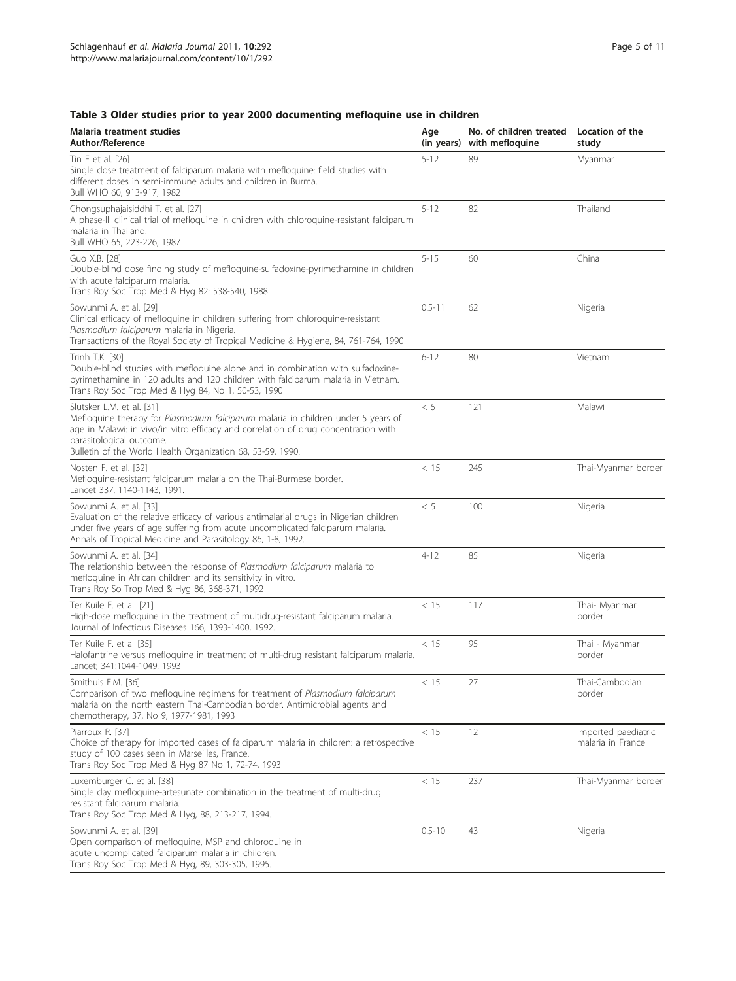# <span id="page-4-0"></span>Table 3 Older studies prior to year 2000 documenting mefloquine use in children

| Malaria treatment studies<br><b>Author/Reference</b>                                                                                                                                                                                                                                            | Age<br>(in years) | No. of children treated<br>with mefloquine | Location of the<br>study                 |
|-------------------------------------------------------------------------------------------------------------------------------------------------------------------------------------------------------------------------------------------------------------------------------------------------|-------------------|--------------------------------------------|------------------------------------------|
| Tin F et al. [26]<br>Single dose treatment of falciparum malaria with mefloquine: field studies with<br>different doses in semi-immune adults and children in Burma.<br>Bull WHO 60, 913-917, 1982                                                                                              | $5 - 12$          | 89                                         | Myanmar                                  |
| Chongsuphajaisiddhi T. et al. [27]<br>A phase-III clinical trial of mefloquine in children with chloroquine-resistant falciparum<br>malaria in Thailand.<br>Bull WHO 65, 223-226, 1987                                                                                                          | $5 - 12$          | 82                                         | Thailand                                 |
| Guo X.B. [28]<br>Double-blind dose finding study of mefloquine-sulfadoxine-pyrimethamine in children<br>with acute falciparum malaria.<br>Trans Roy Soc Trop Med & Hyg 82: 538-540, 1988                                                                                                        | $5 - 15$          | 60                                         | China                                    |
| Sowunmi A. et al. [29]<br>Clinical efficacy of mefloquine in children suffering from chloroquine-resistant<br>Plasmodium falciparum malaria in Nigeria.<br>Transactions of the Royal Society of Tropical Medicine & Hygiene, 84, 761-764, 1990                                                  | $0.5 - 11$        | 62                                         | Nigeria                                  |
| Trinh T.K. [30]<br>Double-blind studies with mefloquine alone and in combination with sulfadoxine-<br>pyrimethamine in 120 adults and 120 children with falciparum malaria in Vietnam.<br>Trans Roy Soc Trop Med & Hyg 84, No 1, 50-53, 1990                                                    | $6 - 12$          | 80                                         | Vietnam                                  |
| Slutsker L.M. et al. [31]<br>Mefloquine therapy for Plasmodium falciparum malaria in children under 5 years of<br>age in Malawi: in vivo/in vitro efficacy and correlation of drug concentration with<br>parasitological outcome.<br>Bulletin of the World Health Organization 68, 53-59, 1990. | < 5               | 121                                        | Malawi                                   |
| Nosten F. et al. [32]<br>Mefloquine-resistant falciparum malaria on the Thai-Burmese border.<br>Lancet 337, 1140-1143, 1991.                                                                                                                                                                    | < 15              | 245                                        | Thai-Myanmar border                      |
| Sowunmi A. et al. [33]<br>Evaluation of the relative efficacy of various antimalarial drugs in Nigerian children<br>under five years of age suffering from acute uncomplicated falciparum malaria.<br>Annals of Tropical Medicine and Parasitology 86, 1-8, 1992.                               | < 5               | 100                                        | Nigeria                                  |
| Sowunmi A. et al. [34]<br>The relationship between the response of Plasmodium falciparum malaria to<br>mefloquine in African children and its sensitivity in vitro.<br>Trans Roy So Trop Med & Hyg 86, 368-371, 1992                                                                            | $4 - 12$          | 85                                         | Nigeria                                  |
| Ter Kuile F. et al. [21]<br>High-dose mefloquine in the treatment of multidrug-resistant falciparum malaria.<br>Journal of Infectious Diseases 166, 1393-1400, 1992.                                                                                                                            | < 15              | 117                                        | Thai- Myanmar<br>border                  |
| Ter Kuile F. et al [35]<br>Halofantrine versus mefloquine in treatment of multi-drug resistant falciparum malaria.<br>Lancet; 341:1044-1049, 1993                                                                                                                                               | < 15              | 95                                         | Thai - Myanmar<br>border                 |
| Smithuis F.M. [36]<br>Comparison of two mefloquine regimens for treatment of Plasmodium falciparum<br>malaria on the north eastern Thai-Cambodian border. Antimicrobial agents and<br>chemotherapy, 37, No 9, 1977-1981, 1993                                                                   | < 15              | 27                                         | Thai-Cambodian<br>border                 |
| Piarroux R. [37]<br>Choice of therapy for imported cases of falciparum malaria in children: a retrospective<br>study of 100 cases seen in Marseilles, France.<br>Trans Roy Soc Trop Med & Hyg 87 No 1, 72-74, 1993                                                                              | < 15              | 12                                         | Imported paediatric<br>malaria in France |
| Luxemburger C. et al. [38]<br>Single day mefloquine-artesunate combination in the treatment of multi-drug<br>resistant falciparum malaria.<br>Trans Roy Soc Trop Med & Hyg, 88, 213-217, 1994.                                                                                                  | < 15              | 237                                        | Thai-Myanmar border                      |
| Sowunmi A. et al. [39]<br>Open comparison of mefloquine, MSP and chloroquine in<br>acute uncomplicated falciparum malaria in children.<br>Trans Roy Soc Trop Med & Hyg, 89, 303-305, 1995.                                                                                                      | $0.5 - 10$        | 43                                         | Nigeria                                  |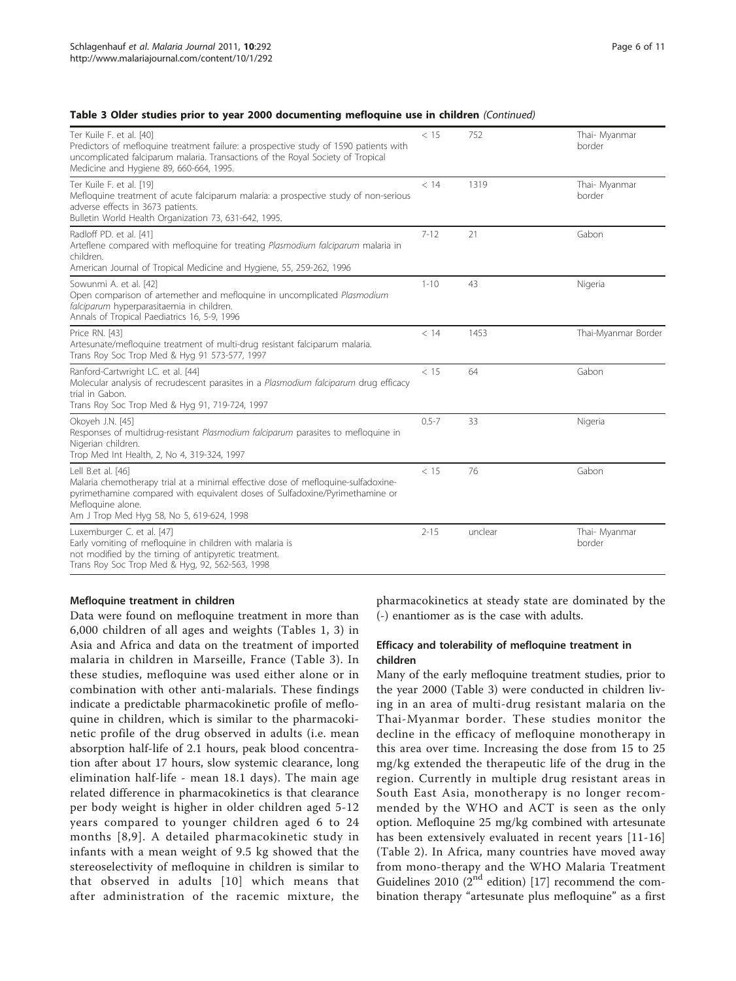|  |  |  |  |  |  | Table 3 Older studies prior to year 2000 documenting mefloquine use in children (Continued) |  |  |  |  |  |
|--|--|--|--|--|--|---------------------------------------------------------------------------------------------|--|--|--|--|--|
|--|--|--|--|--|--|---------------------------------------------------------------------------------------------|--|--|--|--|--|

| Ter Kuile F. et al. [40]<br>Predictors of mefloquine treatment failure: a prospective study of 1590 patients with<br>uncomplicated falciparum malaria. Transactions of the Royal Society of Tropical<br>Medicine and Hygiene 89, 660-664, 1995.           | < 15      | 752     | Thai- Myanmar<br>border |
|-----------------------------------------------------------------------------------------------------------------------------------------------------------------------------------------------------------------------------------------------------------|-----------|---------|-------------------------|
| Ter Kuile F. et al. [19]<br>Mefloquine treatment of acute falciparum malaria: a prospective study of non-serious<br>adverse effects in 3673 patients.<br>Bulletin World Health Organization 73, 631-642, 1995.                                            | < 14      | 1319    | Thai- Myanmar<br>border |
| Radloff PD. et al. [41]<br>Arteflene compared with mefloquine for treating Plasmodium falciparum malaria in<br>children.<br>American Journal of Tropical Medicine and Hygiene, 55, 259-262, 1996                                                          | $7 - 12$  | 21      | Gabon                   |
| Sowunmi A. et al. [42]<br>Open comparison of artemether and mefloquine in uncomplicated Plasmodium<br>falciparum hyperparasitaemia in children.<br>Annals of Tropical Paediatrics 16, 5-9, 1996                                                           | $1 - 10$  | 43      | Nigeria                 |
| Price RN. [43]<br>Artesunate/mefloquine treatment of multi-drug resistant falciparum malaria.<br>Trans Roy Soc Trop Med & Hyg 91 573-577, 1997                                                                                                            | < 14      | 1453    | Thai-Myanmar Border     |
| Ranford-Cartwright LC. et al. [44]<br>Molecular analysis of recrudescent parasites in a Plasmodium falciparum drug efficacy<br>trial in Gabon.<br>Trans Roy Soc Trop Med & Hyg 91, 719-724, 1997                                                          | < 15      | 64      | Gabon                   |
| Okoyeh J.N. [45]<br>Responses of multidrug-resistant Plasmodium falciparum parasites to mefloquine in<br>Nigerian children.<br>Trop Med Int Health, 2, No 4, 319-324, 1997                                                                                | $0.5 - 7$ | 33      | Nigeria                 |
| Lell B.et al. [46]<br>Malaria chemotherapy trial at a minimal effective dose of mefloquine-sulfadoxine-<br>pyrimethamine compared with equivalent doses of Sulfadoxine/Pyrimethamine or<br>Mefloquine alone.<br>Am J Trop Med Hyg 58, No 5, 619-624, 1998 | < 15      | 76      | Gabon                   |
| Luxemburger C. et al. [47]<br>Early vomiting of mefloquine in children with malaria is<br>not modified by the timing of antipyretic treatment.<br>Trans Roy Soc Trop Med & Hyg, 92, 562-563, 1998                                                         | $2 - 15$  | unclear | Thai- Myanmar<br>border |

#### Mefloquine treatment in children

Data were found on mefloquine treatment in more than 6,000 children of all ages and weights (Tables [1](#page-2-0), [3](#page-4-0)) in Asia and Africa and data on the treatment of imported malaria in children in Marseille, France (Table [3](#page-4-0)). In these studies, mefloquine was used either alone or in combination with other anti-malarials. These findings indicate a predictable pharmacokinetic profile of mefloquine in children, which is similar to the pharmacokinetic profile of the drug observed in adults (i.e. mean absorption half-life of 2.1 hours, peak blood concentration after about 17 hours, slow systemic clearance, long elimination half-life - mean 18.1 days). The main age related difference in pharmacokinetics is that clearance per body weight is higher in older children aged 5-12 years compared to younger children aged 6 to 24 months [[8,9\]](#page-9-0). A detailed pharmacokinetic study in infants with a mean weight of 9.5 kg showed that the stereoselectivity of mefloquine in children is similar to that observed in adults [[10](#page-9-0)] which means that after administration of the racemic mixture, the pharmacokinetics at steady state are dominated by the (-) enantiomer as is the case with adults.

#### Efficacy and tolerability of mefloquine treatment in children

Many of the early mefloquine treatment studies, prior to the year 2000 (Table [3\)](#page-4-0) were conducted in children living in an area of multi-drug resistant malaria on the Thai-Myanmar border. These studies monitor the decline in the efficacy of mefloquine monotherapy in this area over time. Increasing the dose from 15 to 25 mg/kg extended the therapeutic life of the drug in the region. Currently in multiple drug resistant areas in South East Asia, monotherapy is no longer recommended by the WHO and ACT is seen as the only option. Mefloquine 25 mg/kg combined with artesunate has been extensively evaluated in recent years [[11](#page-9-0)-[16](#page-9-0)] (Table [2\)](#page-3-0). In Africa, many countries have moved away from mono-therapy and the WHO Malaria Treatment Guidelines 2010 ( $2<sup>nd</sup>$  edition) [\[17](#page-9-0)] recommend the combination therapy "artesunate plus mefloquine" as a first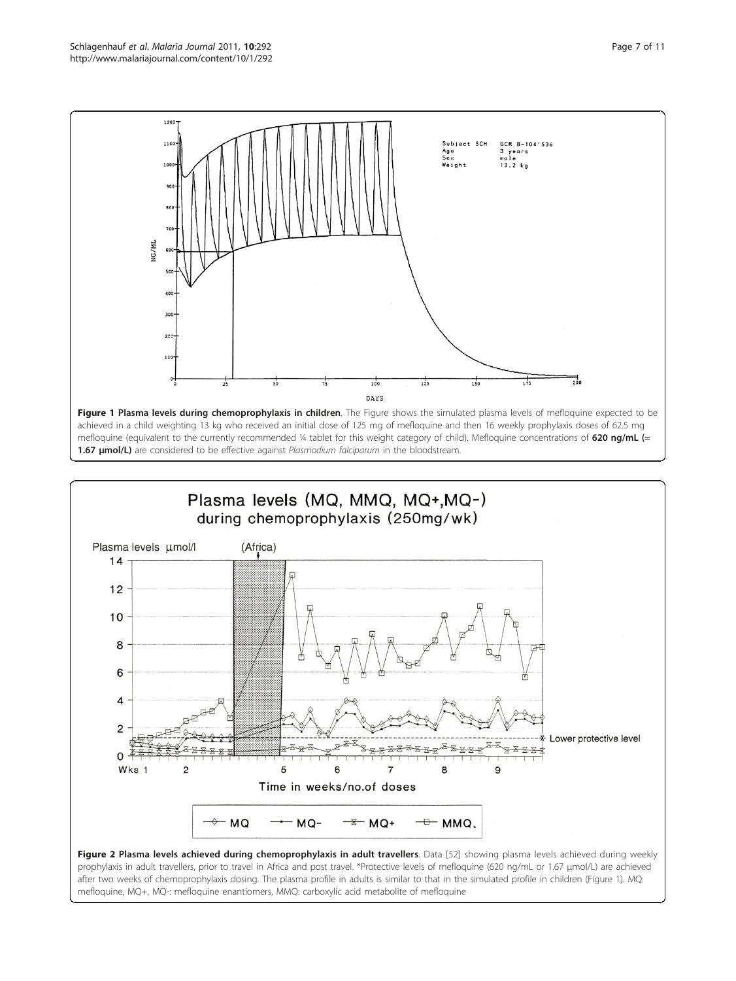<span id="page-6-0"></span>



Figure 2 Plasma levels achieved during chemoprophylaxis in adult travellers. Data [\[52](#page-10-0)] showing plasma levels achieved during weekly prophylaxis in adult travellers, prior to travel in Africa and post travel. \*Protective levels of mefloquine (620 ng/mL or 1.67 μmol/L) are achieved after two weeks of chemoprophylaxis dosing. The plasma profile in adults is similar to that in the simulated profile in children (Figure 1). MQ: mefloquine, MQ+, MQ-: mefloquine enantiomers, MMQ: carboxylic acid metabolite of mefloquine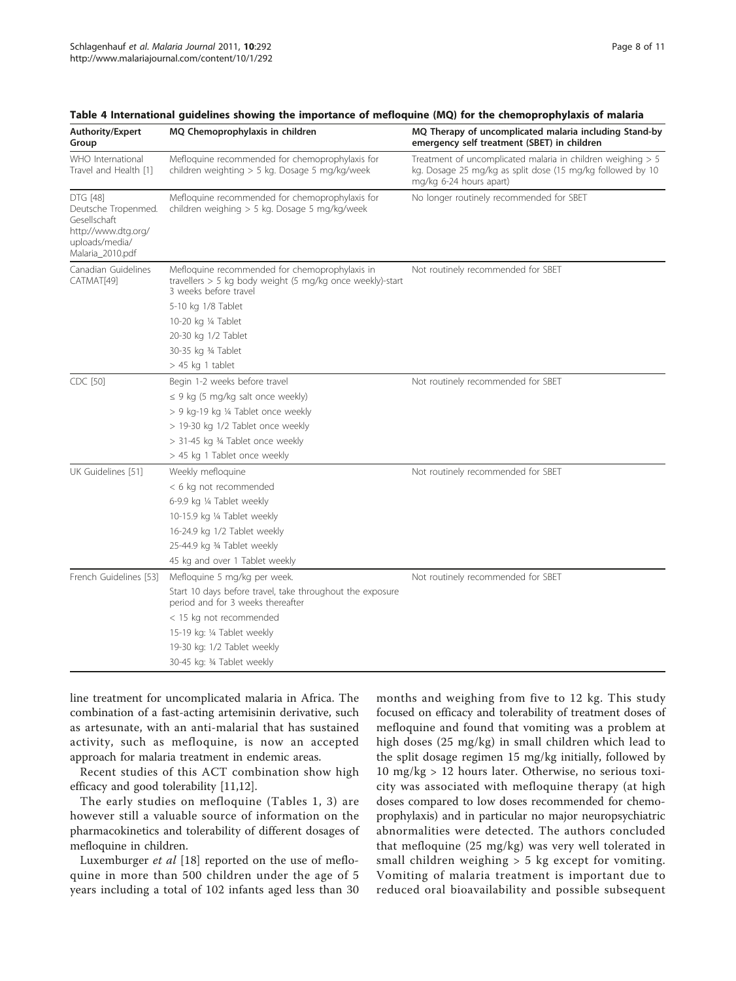| Authority/Expert<br>Group                                                                                           | MQ Chemoprophylaxis in children                                                                                                      | MQ Therapy of uncomplicated malaria including Stand-by<br>emergency self treatment (SBET) in children                                                  |
|---------------------------------------------------------------------------------------------------------------------|--------------------------------------------------------------------------------------------------------------------------------------|--------------------------------------------------------------------------------------------------------------------------------------------------------|
| WHO International<br>Travel and Health [1]                                                                          | Mefloquine recommended for chemoprophylaxis for<br>children weighting > 5 kg. Dosage 5 mg/kg/week                                    | Treatment of uncomplicated malaria in children weighing $> 5$<br>kg. Dosage 25 mg/kg as split dose (15 mg/kg followed by 10<br>mg/kg 6-24 hours apart) |
| <b>DTG [48]</b><br>Deutsche Tropenmed.<br>Gesellschaft<br>http://www.dtg.org/<br>uploads/media/<br>Malaria_2010.pdf | Mefloquine recommended for chemoprophylaxis for<br>children weighing > 5 kg. Dosage 5 mg/kg/week                                     | No longer routinely recommended for SBET                                                                                                               |
| Canadian Guidelines<br>CATMAT[49]                                                                                   | Mefloquine recommended for chemoprophylaxis in<br>travellers > 5 kg body weight (5 mg/kg once weekly)-start<br>3 weeks before travel | Not routinely recommended for SBET                                                                                                                     |
|                                                                                                                     | 5-10 kg 1/8 Tablet                                                                                                                   |                                                                                                                                                        |
|                                                                                                                     | 10-20 kg ¼ Tablet                                                                                                                    |                                                                                                                                                        |
|                                                                                                                     | 20-30 kg 1/2 Tablet                                                                                                                  |                                                                                                                                                        |
|                                                                                                                     | 30-35 kg 34 Tablet                                                                                                                   |                                                                                                                                                        |
|                                                                                                                     | $> 45$ kg 1 tablet                                                                                                                   |                                                                                                                                                        |
| CDC [50]                                                                                                            | Begin 1-2 weeks before travel                                                                                                        | Not routinely recommended for SBET                                                                                                                     |
|                                                                                                                     | $\leq$ 9 kg (5 mg/kg salt once weekly)                                                                                               |                                                                                                                                                        |
|                                                                                                                     | > 9 kg-19 kg 1/4 Tablet once weekly                                                                                                  |                                                                                                                                                        |
|                                                                                                                     | > 19-30 kg 1/2 Tablet once weekly                                                                                                    |                                                                                                                                                        |
|                                                                                                                     | > 31-45 kg 34 Tablet once weekly                                                                                                     |                                                                                                                                                        |
|                                                                                                                     | > 45 kg 1 Tablet once weekly                                                                                                         |                                                                                                                                                        |
| UK Guidelines [51]                                                                                                  | Weekly mefloquine                                                                                                                    | Not routinely recommended for SBET                                                                                                                     |
|                                                                                                                     | < 6 kg not recommended                                                                                                               |                                                                                                                                                        |
|                                                                                                                     | 6-9.9 kg 1/4 Tablet weekly                                                                                                           |                                                                                                                                                        |
|                                                                                                                     | 10-15.9 kg 1/4 Tablet weekly                                                                                                         |                                                                                                                                                        |
|                                                                                                                     | 16-24.9 kg 1/2 Tablet weekly                                                                                                         |                                                                                                                                                        |
|                                                                                                                     | 25-44.9 kg 34 Tablet weekly                                                                                                          |                                                                                                                                                        |
|                                                                                                                     | 45 kg and over 1 Tablet weekly                                                                                                       |                                                                                                                                                        |
| French Guidelines [53]                                                                                              | Mefloquine 5 mg/kg per week.                                                                                                         | Not routinely recommended for SBET                                                                                                                     |
|                                                                                                                     | Start 10 days before travel, take throughout the exposure<br>period and for 3 weeks thereafter                                       |                                                                                                                                                        |
|                                                                                                                     | < 15 kg not recommended                                                                                                              |                                                                                                                                                        |
|                                                                                                                     | 15-19 kg: 1/4 Tablet weekly                                                                                                          |                                                                                                                                                        |
|                                                                                                                     | 19-30 kg: 1/2 Tablet weekly                                                                                                          |                                                                                                                                                        |
|                                                                                                                     | 30-45 kg: 34 Tablet weekly                                                                                                           |                                                                                                                                                        |

<span id="page-7-0"></span>Table 4 International guidelines showing the importance of mefloquine (MQ) for the chemoprophylaxis of malaria

line treatment for uncomplicated malaria in Africa. The combination of a fast-acting artemisinin derivative, such as artesunate, with an anti-malarial that has sustained activity, such as mefloquine, is now an accepted approach for malaria treatment in endemic areas.

Recent studies of this ACT combination show high efficacy and good tolerability [\[11,12](#page-9-0)].

The early studies on mefloquine (Tables [1](#page-2-0), [3\)](#page-4-0) are however still a valuable source of information on the pharmacokinetics and tolerability of different dosages of mefloquine in children.

Luxemburger et al [\[18](#page-9-0)] reported on the use of mefloquine in more than 500 children under the age of 5 years including a total of 102 infants aged less than 30 months and weighing from five to 12 kg. This study focused on efficacy and tolerability of treatment doses of mefloquine and found that vomiting was a problem at high doses (25 mg/kg) in small children which lead to the split dosage regimen 15 mg/kg initially, followed by 10 mg/kg > 12 hours later. Otherwise, no serious toxicity was associated with mefloquine therapy (at high doses compared to low doses recommended for chemoprophylaxis) and in particular no major neuropsychiatric abnormalities were detected. The authors concluded that mefloquine (25 mg/kg) was very well tolerated in small children weighing > 5 kg except for vomiting. Vomiting of malaria treatment is important due to reduced oral bioavailability and possible subsequent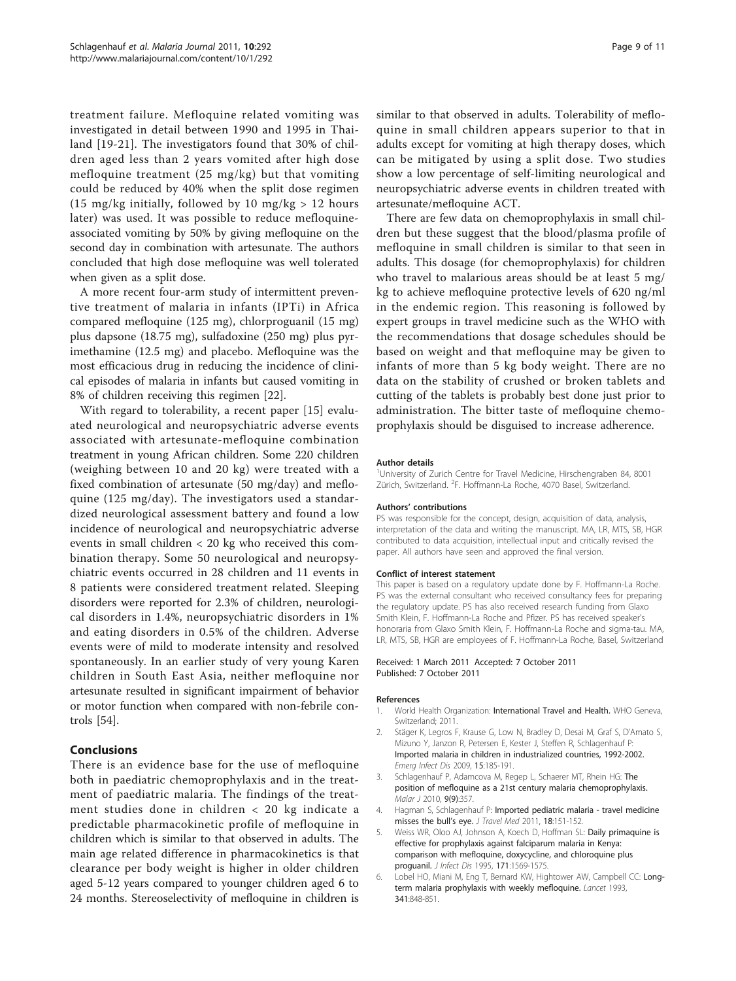<span id="page-8-0"></span>treatment failure. Mefloquine related vomiting was investigated in detail between 1990 and 1995 in Thailand [[19-21\]](#page-9-0). The investigators found that 30% of children aged less than 2 years vomited after high dose mefloquine treatment (25 mg/kg) but that vomiting could be reduced by 40% when the split dose regimen (15 mg/kg initially, followed by 10 mg/kg  $> 12$  hours later) was used. It was possible to reduce mefloquineassociated vomiting by 50% by giving mefloquine on the second day in combination with artesunate. The authors concluded that high dose mefloquine was well tolerated when given as a split dose.

A more recent four-arm study of intermittent preventive treatment of malaria in infants (IPTi) in Africa compared mefloquine (125 mg), chlorproguanil (15 mg) plus dapsone (18.75 mg), sulfadoxine (250 mg) plus pyrimethamine (12.5 mg) and placebo. Mefloquine was the most efficacious drug in reducing the incidence of clinical episodes of malaria in infants but caused vomiting in 8% of children receiving this regimen [[22](#page-9-0)].

With regard to tolerability, a recent paper [[15\]](#page-9-0) evaluated neurological and neuropsychiatric adverse events associated with artesunate-mefloquine combination treatment in young African children. Some 220 children (weighing between 10 and 20 kg) were treated with a fixed combination of artesunate (50 mg/day) and mefloquine (125 mg/day). The investigators used a standardized neurological assessment battery and found a low incidence of neurological and neuropsychiatric adverse events in small children < 20 kg who received this combination therapy. Some 50 neurological and neuropsychiatric events occurred in 28 children and 11 events in 8 patients were considered treatment related. Sleeping disorders were reported for 2.3% of children, neurological disorders in 1.4%, neuropsychiatric disorders in 1% and eating disorders in 0.5% of the children. Adverse events were of mild to moderate intensity and resolved spontaneously. In an earlier study of very young Karen children in South East Asia, neither mefloquine nor artesunate resulted in significant impairment of behavior or motor function when compared with non-febrile controls [\[54](#page-10-0)].

# **Conclusions**

There is an evidence base for the use of mefloquine both in paediatric chemoprophylaxis and in the treatment of paediatric malaria. The findings of the treatment studies done in children < 20 kg indicate a predictable pharmacokinetic profile of mefloquine in children which is similar to that observed in adults. The main age related difference in pharmacokinetics is that clearance per body weight is higher in older children aged 5-12 years compared to younger children aged 6 to 24 months. Stereoselectivity of mefloquine in children is similar to that observed in adults. Tolerability of mefloquine in small children appears superior to that in adults except for vomiting at high therapy doses, which can be mitigated by using a split dose. Two studies show a low percentage of self-limiting neurological and neuropsychiatric adverse events in children treated with artesunate/mefloquine ACT.

There are few data on chemoprophylaxis in small children but these suggest that the blood/plasma profile of mefloquine in small children is similar to that seen in adults. This dosage (for chemoprophylaxis) for children who travel to malarious areas should be at least 5 mg/ kg to achieve mefloquine protective levels of 620 ng/ml in the endemic region. This reasoning is followed by expert groups in travel medicine such as the WHO with the recommendations that dosage schedules should be based on weight and that mefloquine may be given to infants of more than 5 kg body weight. There are no data on the stability of crushed or broken tablets and cutting of the tablets is probably best done just prior to administration. The bitter taste of mefloquine chemoprophylaxis should be disguised to increase adherence.

#### Author details

<sup>1</sup>University of Zurich Centre for Travel Medicine, Hirschengraben 84, 8001 Zürich, Switzerland. <sup>2</sup>F. Hoffmann-La Roche, 4070 Basel, Switzerland.

#### Authors' contributions

PS was responsible for the concept, design, acquisition of data, analysis, interpretation of the data and writing the manuscript. MA, LR, MTS, SB, HGR contributed to data acquisition, intellectual input and critically revised the paper. All authors have seen and approved the final version.

#### Conflict of interest statement

This paper is based on a regulatory update done by F. Hoffmann-La Roche. PS was the external consultant who received consultancy fees for preparing the regulatory update. PS has also received research funding from Glaxo Smith Klein, F. Hoffmann-La Roche and Pfizer. PS has received speaker's honoraria from Glaxo Smith Klein, F. Hoffmann-La Roche and sigma-tau. MA, LR, MTS, SB, HGR are employees of F. Hoffmann-La Roche, Basel, Switzerland

#### Received: 1 March 2011 Accepted: 7 October 2011 Published: 7 October 2011

#### References

- 1. World Health Organization: International Travel and Health. WHO Geneva, Switzerland; 2011.
- 2. Stäger K, Legros F, Krause G, Low N, Bradley D, Desai M, Graf S, D'Amato S, Mizuno Y, Janzon R, Petersen E, Kester J, Steffen R, Schlagenhauf P: [Imported malaria in children in industrialized countries, 1992-2002.](http://www.ncbi.nlm.nih.gov/pubmed/19193261?dopt=Abstract) Emerg Infect Dis 2009, 15:185-191.
- 3. Schlagenhauf P, Adamcova M, Regep L, Schaerer MT, Rhein HG: [The](http://www.ncbi.nlm.nih.gov/pubmed/21143906?dopt=Abstract) [position of mefloquine as a 21st century malaria chemoprophylaxis.](http://www.ncbi.nlm.nih.gov/pubmed/21143906?dopt=Abstract) Malar J 2010, 9(9):357.
- 4. Hagman S, Schlagenhauf P: [Imported pediatric malaria travel medicine](http://www.ncbi.nlm.nih.gov/pubmed/21539652?dopt=Abstract) [misses the bull](http://www.ncbi.nlm.nih.gov/pubmed/21539652?dopt=Abstract)'s eye. J Travel Med 2011, 18:151-152.
- 5. Weiss WR, Oloo AJ, Johnson A, Koech D, Hoffman SL: [Daily primaquine is](http://www.ncbi.nlm.nih.gov/pubmed/7769294?dopt=Abstract) [effective for prophylaxis against falciparum malaria in Kenya:](http://www.ncbi.nlm.nih.gov/pubmed/7769294?dopt=Abstract) [comparison with mefloquine, doxycycline, and chloroquine plus](http://www.ncbi.nlm.nih.gov/pubmed/7769294?dopt=Abstract) [proguanil.](http://www.ncbi.nlm.nih.gov/pubmed/7769294?dopt=Abstract) J Infect Dis 1995, 171:1569-1575.
- 6. Lobel HO, Miani M, Eng T, Bernard KW, Hightower AW, Campbell CC: [Long](http://www.ncbi.nlm.nih.gov/pubmed/8096560?dopt=Abstract)[term malaria prophylaxis with weekly mefloquine.](http://www.ncbi.nlm.nih.gov/pubmed/8096560?dopt=Abstract) Lancet 1993, 341:848-851.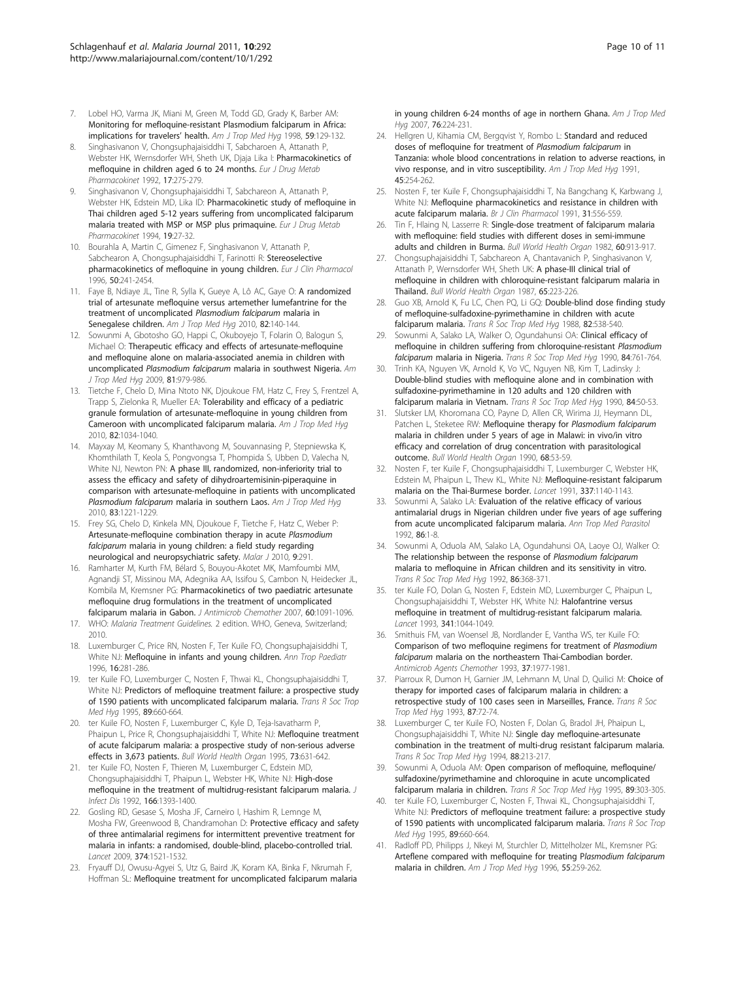- <span id="page-9-0"></span>7. Lobel HO, Varma JK, Miani M, Green M, Todd GD, Grady K, Barber AM: [Monitoring for mefloquine-resistant Plasmodium falciparum in Africa:](http://www.ncbi.nlm.nih.gov/pubmed/9684640?dopt=Abstract) [implications for travelers](http://www.ncbi.nlm.nih.gov/pubmed/9684640?dopt=Abstract)' health. Am J Trop Med Hyg 1998, 59:129-132.
- 8. Singhasivanon V, Chongsuphajaisiddhi T, Sabcharoen A, Attanath P, Webster HK, Wernsdorfer WH, Sheth UK, Djaja Lika I: [Pharmacokinetics of](http://www.ncbi.nlm.nih.gov/pubmed/1301357?dopt=Abstract) [mefloquine in children aged 6 to 24 months.](http://www.ncbi.nlm.nih.gov/pubmed/1301357?dopt=Abstract) Eur J Drug Metab Pharmacokinet 1992, 17:275-279.
- 9. Singhasivanon V, Chongsuphajaisiddhi T, Sabchareon A, Attanath P, Webster HK, Edstein MD, Lika ID: [Pharmacokinetic study of mefloquine in](http://www.ncbi.nlm.nih.gov/pubmed/7957448?dopt=Abstract) [Thai children aged 5-12 years suffering from uncomplicated falciparum](http://www.ncbi.nlm.nih.gov/pubmed/7957448?dopt=Abstract) [malaria treated with MSP or MSP plus primaquine.](http://www.ncbi.nlm.nih.gov/pubmed/7957448?dopt=Abstract) Eur J Drug Metab Pharmacokinet 1994, 19:27-32.
- 10. Bourahla A, Martin C, Gimenez F, Singhasivanon V, Attanath P, Sabchearon A, Chongsuphajaisiddhi T, Farinotti R: [Stereoselective](http://www.ncbi.nlm.nih.gov/pubmed/8737767?dopt=Abstract) [pharmacokinetics of mefloquine in young children.](http://www.ncbi.nlm.nih.gov/pubmed/8737767?dopt=Abstract) Eur J Clin Pharmacol 1996, 50:241-2454.
- 11. Faye B, Ndiaye JL, Tine R, Sylla K, Gueye A, Lô AC, Gaye O: [A randomized](http://www.ncbi.nlm.nih.gov/pubmed/20065010?dopt=Abstract) [trial of artesunate mefloquine versus artemether lumefantrine for the](http://www.ncbi.nlm.nih.gov/pubmed/20065010?dopt=Abstract) [treatment of uncomplicated](http://www.ncbi.nlm.nih.gov/pubmed/20065010?dopt=Abstract) Plasmodium falciparum malaria in [Senegalese children.](http://www.ncbi.nlm.nih.gov/pubmed/20065010?dopt=Abstract) Am J Trop Med Hyg 2010, 82:140-144.
- 12. Sowunmi A, Gbotosho GO, Happi C, Okuboyejo T, Folarin O, Balogun S, Michael O: [Therapeutic efficacy and effects of artesunate-mefloquine](http://www.ncbi.nlm.nih.gov/pubmed/19996425?dopt=Abstract) [and mefloquine alone on malaria-associated anemia in children with](http://www.ncbi.nlm.nih.gov/pubmed/19996425?dopt=Abstract) uncomplicated Plasmodium falciparum [malaria in southwest Nigeria.](http://www.ncbi.nlm.nih.gov/pubmed/19996425?dopt=Abstract) Am J Trop Med Hya 2009, 81:979-986.
- 13. Tietche F, Chelo D, Mina Ntoto NK, Djoukoue FM, Hatz C, Frey S, Frentzel A, Trapp S, Zielonka R, Mueller EA: [Tolerability and efficacy of a pediatric](http://www.ncbi.nlm.nih.gov/pubmed/20519597?dopt=Abstract) [granule formulation of artesunate-mefloquine in young children from](http://www.ncbi.nlm.nih.gov/pubmed/20519597?dopt=Abstract) [Cameroon with uncomplicated falciparum malaria.](http://www.ncbi.nlm.nih.gov/pubmed/20519597?dopt=Abstract) Am J Trop Med Hyg 2010, 82:1034-1040.
- 14. Mayxay M, Keomany S, Khanthavong M, Souvannasing P, Stepniewska K, Khomthilath T, Keola S, Pongvongsa T, Phompida S, Ubben D, Valecha N, White NJ, Newton PN: [A phase III, randomized, non-inferiority trial to](http://www.ncbi.nlm.nih.gov/pubmed/21118925?dopt=Abstract) [assess the efficacy and safety of dihydroartemisinin-piperaquine in](http://www.ncbi.nlm.nih.gov/pubmed/21118925?dopt=Abstract) [comparison with artesunate-mefloquine in patients with uncomplicated](http://www.ncbi.nlm.nih.gov/pubmed/21118925?dopt=Abstract) Plasmodium falciparum [malaria in southern Laos.](http://www.ncbi.nlm.nih.gov/pubmed/21118925?dopt=Abstract) Am J Trop Med Hyg 2010, 83:1221-1229.
- 15. Frey SG, Chelo D, Kinkela MN, Djoukoue F, Tietche F, Hatz C, Weber P: [Artesunate-mefloquine combination therapy in acute](http://www.ncbi.nlm.nih.gov/pubmed/20964849?dopt=Abstract) Plasmodium falciparum [malaria in young children: a field study regarding](http://www.ncbi.nlm.nih.gov/pubmed/20964849?dopt=Abstract) [neurological and neuropsychiatric safety.](http://www.ncbi.nlm.nih.gov/pubmed/20964849?dopt=Abstract) Malar J 2010, 9:291.
- 16. Ramharter M, Kurth FM, Bélard S, Bouyou-Akotet MK, Mamfoumbi MM, Agnandji ST, Missinou MA, Adegnika AA, Issifou S, Cambon N, Heidecker JL, Kombila M, Kremsner PG: [Pharmacokinetics of two paediatric artesunate](http://www.ncbi.nlm.nih.gov/pubmed/17884832?dopt=Abstract) [mefloquine drug formulations in the treatment of uncomplicated](http://www.ncbi.nlm.nih.gov/pubmed/17884832?dopt=Abstract) [falciparum malaria in Gabon.](http://www.ncbi.nlm.nih.gov/pubmed/17884832?dopt=Abstract) J Antimicrob Chemother 2007, 60:1091-1096.
- 17. WHO: Malaria Treatment Guidelines. 2 edition. WHO, Geneva, Switzerland; 2010.
- 18. Luxemburger C, Price RN, Nosten F, Ter Kuile FO, Chongsuphajaisiddhi T, White NJ: [Mefloquine in infants and young children.](http://www.ncbi.nlm.nih.gov/pubmed/8985524?dopt=Abstract) Ann Trop Paediatr 1996, 16:281-286.
- 19. ter Kuile FO, Luxemburger C, Nosten F, Thwai KL, Chongsuphajaisiddhi T, White NJ: [Predictors of mefloquine treatment failure: a prospective study](http://www.ncbi.nlm.nih.gov/pubmed/8594690?dopt=Abstract) [of 1590 patients with uncomplicated falciparum malaria.](http://www.ncbi.nlm.nih.gov/pubmed/8594690?dopt=Abstract) Trans R Soc Trop Med Hyg 1995, 89:660-664.
- 20. ter Kuile FO, Nosten F, Luxemburger C, Kyle D, Teja-Isavatharm P, Phaipun L, Price R, Chongsuphajaisiddhi T, White NJ: [Mefloquine treatment](http://www.ncbi.nlm.nih.gov/pubmed/8846489?dopt=Abstract) [of acute falciparum malaria: a prospective study of non-serious adverse](http://www.ncbi.nlm.nih.gov/pubmed/8846489?dopt=Abstract) [effects in 3,673 patients.](http://www.ncbi.nlm.nih.gov/pubmed/8846489?dopt=Abstract) Bull World Health Organ 1995, 73:631-642.
- 21. ter Kuile FO, Nosten F, Thieren M, Luxemburger C, Edstein MD, Chongsuphajaisiddhi T, Phaipun L, Webster HK, White NJ: [High-dose](http://www.ncbi.nlm.nih.gov/pubmed/1431257?dopt=Abstract) [mefloquine in the treatment of multidrug-resistant falciparum malaria.](http://www.ncbi.nlm.nih.gov/pubmed/1431257?dopt=Abstract) J Infect Dis 1992, 166:1393-1400.
- 22. Gosling RD, Gesase S, Mosha JF, Carneiro I, Hashim R, Lemnge M, Mosha FW, Greenwood B, Chandramohan D: [Protective efficacy and safety](http://www.ncbi.nlm.nih.gov/pubmed/19765815?dopt=Abstract) [of three antimalarial regimens for intermittent preventive treatment for](http://www.ncbi.nlm.nih.gov/pubmed/19765815?dopt=Abstract) [malaria in infants: a randomised, double-blind, placebo-controlled trial.](http://www.ncbi.nlm.nih.gov/pubmed/19765815?dopt=Abstract) Lancet 2009, 374:1521-1532.
- 23. Fryauff DJ, Owusu-Agyei S, Utz G, Baird JK, Koram KA, Binka F, Nkrumah F, Hoffman SL: [Mefloquine treatment for uncomplicated falciparum malaria](http://www.ncbi.nlm.nih.gov/pubmed/17297028?dopt=Abstract)

[in young children 6-24 months of age in northern Ghana.](http://www.ncbi.nlm.nih.gov/pubmed/17297028?dopt=Abstract) Am J Trop Med Hyg 2007, 76:224-231.

- 24. Hellgren U, Kihamia CM, Bergqvist Y, Rombo L: [Standard and reduced](http://www.ncbi.nlm.nih.gov/pubmed/1877721?dopt=Abstract) [doses of mefloquine for treatment of](http://www.ncbi.nlm.nih.gov/pubmed/1877721?dopt=Abstract) Plasmodium falciparum in [Tanzania: whole blood concentrations in relation to adverse reactions, in](http://www.ncbi.nlm.nih.gov/pubmed/1877721?dopt=Abstract) [vivo response, and in vitro susceptibility.](http://www.ncbi.nlm.nih.gov/pubmed/1877721?dopt=Abstract) Am J Trop Med Hyg 1991, 45:254-262.
- 25. Nosten F, ter Kuile F, Chongsuphajaisiddhi T, Na Bangchang K, Karbwang J, White NJ: [Mefloquine pharmacokinetics and resistance in children with](http://www.ncbi.nlm.nih.gov/pubmed/1888626?dopt=Abstract) [acute falciparum malaria.](http://www.ncbi.nlm.nih.gov/pubmed/1888626?dopt=Abstract) Br J Clin Pharmacol 1991, 31:556-559.
- 26. Tin F, Hlaing N, Lasserre R: [Single-dose treatment of falciparum malaria](http://www.ncbi.nlm.nih.gov/pubmed/6218927?dopt=Abstract) [with mefloquine: field studies with different doses in semi-immune](http://www.ncbi.nlm.nih.gov/pubmed/6218927?dopt=Abstract) [adults and children in Burma.](http://www.ncbi.nlm.nih.gov/pubmed/6218927?dopt=Abstract) Bull World Health Organ 1982, 60:913-917.
- 27. Chongsuphajaisiddhi T, Sabchareon A, Chantavanich P, Singhasivanon V, Attanath P, Wernsdorfer WH, Sheth UK: [A phase-III clinical trial of](http://www.ncbi.nlm.nih.gov/pubmed/3301042?dopt=Abstract) [mefloquine in children with chloroquine-resistant falciparum malaria in](http://www.ncbi.nlm.nih.gov/pubmed/3301042?dopt=Abstract) [Thailand.](http://www.ncbi.nlm.nih.gov/pubmed/3301042?dopt=Abstract) Bull World Health Organ 1987, 65:223-226.
- 28. Guo XB, Arnold K, Fu LC, Chen PQ, Li GQ: [Double-blind dose finding study](http://www.ncbi.nlm.nih.gov/pubmed/3076709?dopt=Abstract) [of mefloquine-sulfadoxine-pyrimethamine in children with acute](http://www.ncbi.nlm.nih.gov/pubmed/3076709?dopt=Abstract) [falciparum malaria.](http://www.ncbi.nlm.nih.gov/pubmed/3076709?dopt=Abstract) Trans R Soc Trop Med Hyg 1988, 82:538-540.
- 29. Sowunmi A, Salako LA, Walker O, Ogundahunsi OA: [Clinical efficacy of](http://www.ncbi.nlm.nih.gov/pubmed/2096499?dopt=Abstract) [mefloquine in children suffering from chloroquine-resistant](http://www.ncbi.nlm.nih.gov/pubmed/2096499?dopt=Abstract) Plasmodium falciparum [malaria in Nigeria.](http://www.ncbi.nlm.nih.gov/pubmed/2096499?dopt=Abstract) Trans R Soc Trop Med Hyg 1990, 84:761-764.
- 30. Trinh KA, Nguyen VK, Arnold K, Vo VC, Nguyen NB, Kim T, Ladinsky J: [Double-blind studies with mefloquine alone and in combination with](http://www.ncbi.nlm.nih.gov/pubmed/2189246?dopt=Abstract) [sulfadoxine-pyrimethamine in 120 adults and 120 children with](http://www.ncbi.nlm.nih.gov/pubmed/2189246?dopt=Abstract) [falciparum malaria in Vietnam.](http://www.ncbi.nlm.nih.gov/pubmed/2189246?dopt=Abstract) Trans R Soc Trop Med Hyg 1990, 84:50-53.
- 31. Slutsker LM, Khoromana CO, Payne D, Allen CR, Wirima JJ, Heymann DL, Patchen L, Steketee RW: [Mefloquine therapy for](http://www.ncbi.nlm.nih.gov/pubmed/2189586?dopt=Abstract) Plasmodium falciparum [malaria in children under 5 years of age in Malawi: in vivo/in vitro](http://www.ncbi.nlm.nih.gov/pubmed/2189586?dopt=Abstract) [efficacy and correlation of drug concentration with parasitological](http://www.ncbi.nlm.nih.gov/pubmed/2189586?dopt=Abstract) [outcome.](http://www.ncbi.nlm.nih.gov/pubmed/2189586?dopt=Abstract) Bull World Health Organ 1990, 68:53-59.
- 32. Nosten F, ter Kuile F, Chongsuphajaisiddhi T, Luxemburger C, Webster HK, Edstein M, Phaipun L, Thew KL, White NJ: [Mefloquine-resistant falciparum](http://www.ncbi.nlm.nih.gov/pubmed/1674024?dopt=Abstract) [malaria on the Thai-Burmese border.](http://www.ncbi.nlm.nih.gov/pubmed/1674024?dopt=Abstract) Lancet 1991, 337:1140-1143.
- 33. Sowunmi A, Salako LA: [Evaluation of the relative efficacy of various](http://www.ncbi.nlm.nih.gov/pubmed/1489240?dopt=Abstract) [antimalarial drugs in Nigerian children under five years of age suffering](http://www.ncbi.nlm.nih.gov/pubmed/1489240?dopt=Abstract) [from acute uncomplicated falciparum malaria.](http://www.ncbi.nlm.nih.gov/pubmed/1489240?dopt=Abstract) Ann Trop Med Parasitol 1992, 86:1-8.
- 34. Sowunmi A, Oduola AM, Salako LA, Ogundahunsi OA, Laoye OJ, Walker O: [The relationship between the response of](http://www.ncbi.nlm.nih.gov/pubmed/1440804?dopt=Abstract) Plasmodium falciparum [malaria to mefloquine in African children and its sensitivity in vitro.](http://www.ncbi.nlm.nih.gov/pubmed/1440804?dopt=Abstract) Trans R Soc Trop Med Hyg 1992, 86:368-371.
- 35. ter Kuile FO, Dolan G, Nosten F, Edstein MD, Luxemburger C, Phaipun L, Chongsuphajaisiddhi T, Webster HK, White NJ: [Halofantrine versus](http://www.ncbi.nlm.nih.gov/pubmed/8096956?dopt=Abstract) [mefloquine in treatment of multidrug-resistant falciparum malaria.](http://www.ncbi.nlm.nih.gov/pubmed/8096956?dopt=Abstract) Lancet 1993, 341:1044-1049.
- 36. Smithuis FM, van Woensel JB, Nordlander E, Vantha WS, ter Kuile FO: [Comparison of two mefloquine regimens for treatment of](http://www.ncbi.nlm.nih.gov/pubmed/8239616?dopt=Abstract) Plasmodium falciparum [malaria on the northeastern Thai-Cambodian border.](http://www.ncbi.nlm.nih.gov/pubmed/8239616?dopt=Abstract) Antimicrob Agents Chemother 1993, 37:1977-1981.
- 37. Piarroux R, Dumon H, Garnier JM, Lehmann M, Unal D, Quilici M: [Choice of](http://www.ncbi.nlm.nih.gov/pubmed/8465403?dopt=Abstract) [therapy for imported cases of falciparum malaria in children: a](http://www.ncbi.nlm.nih.gov/pubmed/8465403?dopt=Abstract) [retrospective study of 100 cases seen in Marseilles, France.](http://www.ncbi.nlm.nih.gov/pubmed/8465403?dopt=Abstract) Trans R Soc Trop Med Hyg 1993, 87:72-74.
- 38. Luxemburger C, ter Kuile FO, Nosten F, Dolan G, Bradol JH, Phaipun L, Chongsuphajaisiddhi T, White NJ: [Single day mefloquine-artesunate](http://www.ncbi.nlm.nih.gov/pubmed/8036679?dopt=Abstract) [combination in the treatment of multi-drug resistant falciparum malaria.](http://www.ncbi.nlm.nih.gov/pubmed/8036679?dopt=Abstract) Trans R Soc Trop Med Hyg 1994, 88:213-217.
- 39. Sowunmi A, Oduola AM: [Open comparison of mefloquine, mefloquine/](http://www.ncbi.nlm.nih.gov/pubmed/7660443?dopt=Abstract) [sulfadoxine/pyrimethamine and chloroquine in acute uncomplicated](http://www.ncbi.nlm.nih.gov/pubmed/7660443?dopt=Abstract) [falciparum malaria in children.](http://www.ncbi.nlm.nih.gov/pubmed/7660443?dopt=Abstract) Trans R Soc Trop Med Hyg 1995, 89:303-305.
- 40. ter Kuile FO, Luxemburger C, Nosten F, Thwai KL, Chongsuphajaisiddhi T, White NJ: [Predictors of mefloquine treatment failure: a prospective study](http://www.ncbi.nlm.nih.gov/pubmed/8594690?dopt=Abstract) [of 1590 patients with uncomplicated falciparum malaria.](http://www.ncbi.nlm.nih.gov/pubmed/8594690?dopt=Abstract) Trans R Soc Trop Med Hyg 1995, 89:660-664.
- 41. Radloff PD, Philipps J, Nkeyi M, Sturchler D, Mittelholzer ML, Kremsner PG: [Arteflene compared with mefloquine for treating P](http://www.ncbi.nlm.nih.gov/pubmed/8842111?dopt=Abstract)lasmodium falciparum [malaria in children.](http://www.ncbi.nlm.nih.gov/pubmed/8842111?dopt=Abstract) Am J Trop Med Hyg 1996, 55:259-262.